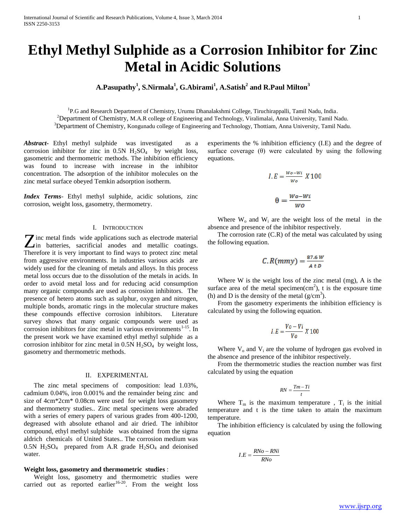# **Ethyl Methyl Sulphide as a Corrosion Inhibitor for Zinc Metal in Acidic Solutions**

# **A.Pasupathy<sup>1</sup> , S.Nirmala<sup>1</sup> , G.Abirami<sup>1</sup> , A.Satish<sup>2</sup> and R.Paul Milton<sup>3</sup>**

<sup>1</sup>P.G and Research Department of Chemistry, Urumu Dhanalakshmi College, Tiruchirappalli, Tamil Nadu, India. <sup>2</sup>Department of Chemistry, M.A.R college of Engineering and Technology, Viralimalai, Anna University, Tamil Nadu. <sup>3</sup>Department of Chemistry, Kongunadu college of Engineering and Technology, Thottiam, Anna University, Tamil Nadu.

*Abstract***-** Ethyl methyl sulphide was investigated as a corrosion inhibitor for zinc in  $0.5N$  H<sub>2</sub>SO<sub>4</sub> by weight loss, gasometric and thermometric methods. The inhibition efficiency was found to increase with increase in the inhibitor concentration. The adsorption of the inhibitor molecules on the zinc metal surface obeyed Temkin adsorption isotherm.

*Index Terms*- Ethyl methyl sulphide, acidic solutions, zinc corrosion, weight loss, gasometry, thermometry.

#### I. INTRODUCTION

**T** inc metal finds wide applications such as electrode material **Z** inc metal finds wide applications such as electrode material in batteries, sacrificial anodes and metallic coatings. Therefore it is very important to find ways to protect zinc metal from aggressive environments. In industries various acids are widely used for the cleaning of metals and alloys. In this process metal loss occurs due to the dissolution of the metals in acids. In order to avoid metal loss and for reducing acid consumption many organic compounds are used as corrosion inhibitors. The presence of hetero atoms such as sulphur, oxygen and nitrogen, multiple bonds, aromatic rings in the molecular structure makes these compounds effective corrosion inhibitors. Literature survey shows that many organic compounds were used as corrosion inhibitors for zinc metal in various environments $1-15$ . In the present work we have examined ethyl methyl sulphide as a corrosion inhibitor for zinc metal in  $0.5N H_2SO_4$  by weight loss, gasometry and thermometric methods.

# II. EXPERIMENTAL

 The zinc metal specimens of composition: lead 1.03%, cadmium 0.04%, iron 0.001% and the remainder being zinc and size of 4cm\*2cm\* 0.08cm were used for weight loss gasometry and thermometry studies.. Zinc metal specimens were abraded with a series of emery papers of various grades from 400-1200, degreased with absolute ethanol and air dried. The inhibitor compound, ethyl methyl sulphide was obtained from the sigma aldrich chemicals of United States.. The corrosion medium was 0.5N  $H_2SO_4$  prepared from A.R grade  $H_2SO_4$  and deionised water.

### **Weight loss, gasometry and thermometric studies** :

 Weight loss, gasometry and thermometric studies were carried out as reported earlier<sup>16-20</sup>. From the weight loss

experiments the % inhibition efficiency (I.E) and the degree of surface coverage  $(\theta)$  were calculated by using the following equations.

$$
I.E = \frac{w_o - w_i}{w_o} X 100
$$

$$
\theta = \frac{w_o - w_i}{w_o}
$$

Where  $W_0$  and  $W_i$  are the weight loss of the metal in the absence and presence of the inhibitor respectively.

 The corrosion rate (C.R) of the metal was calculated by using the following equation.

$$
C. R(mmy) = \frac{87.6 W}{4 t D}
$$

 Where W is the weight loss of the zinc metal (mg), A is the surface area of the metal specimen $(cm<sup>2</sup>)$ , t is the exposure time (h) and D is the density of the metal  $(g/cm<sup>3</sup>)$ .

 From the gasometry experiments the inhibition efficiency is calculated by using the following equation.

$$
I.E = \frac{V_o - Vi}{V_o} X 100
$$

Where  $V_0$  and  $V_i$  are the volume of hydrogen gas evolved in the absence and presence of the inhibitor respectively.

 From the thermometric studies the reaction number was first calculated by using the equation

$$
RN = \frac{Tm - Ti}{t}
$$

Where  $T_m$  is the maximum temperature,  $T_i$  is the initial temperature and t is the time taken to attain the maximum temperature.

 The inhibition efficiency is calculated by using the following equation

$$
I.E = \frac{RNo - RNi}{RNo}
$$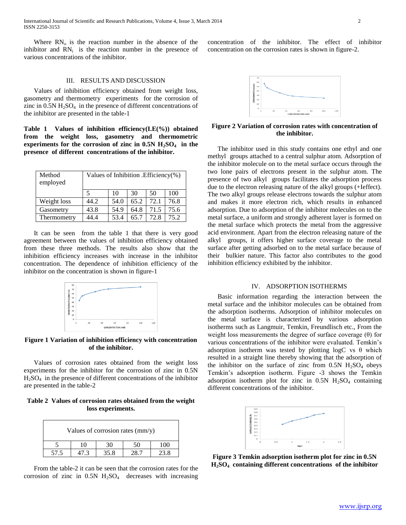Where  $RN_{o}$  is the reaction number in the absence of the inhibitor and  $RN<sub>i</sub>$  is the reaction number in the presence of various concentrations of the inhibitor.

### III. RESULTS AND DISCUSSION

 Values of inhibition efficiency obtained from weight loss, gasometry and thermometry experiments for the corrosion of zinc in  $0.5N H<sub>2</sub>SO<sub>4</sub>$  in the presence of different concentrations of the inhibitor are presented in the table-1

**Table 1 Values of inhibition efficiency(I.E(%)) obtained from the weight loss, gasometry and thermometric experiments for the corrosion of zinc in 0.5N H2SO4 in the presence of different concentrations of the inhibitor.**

| Method<br>employed | Values of Inhibition . Efficiency $(\%)$ |      |      |      |      |  |
|--------------------|------------------------------------------|------|------|------|------|--|
|                    | 5                                        | 10   | 30   | 50   | 100  |  |
| Weight loss        | 44.2                                     | 54.0 | 65.2 | 72.1 | 76.8 |  |
| Gasometry          | 43.8                                     | 54.9 | 64.8 | 71.5 | 75.6 |  |
| Thermometry        | 14 4                                     | 53.4 | 65.7 | 72.8 | 75.2 |  |

 It can be seen from the table 1 that there is very good agreement between the values of inhibition efficiency obtained from these three methods. The results also show that the inhibition efficiency increases with increase in the inhibitor concentration. The dependence of inhibition efficiency of the inhibitor on the concentration is shown in figure-1



**Figure 1 Variation of inhibition efficiency with concentration of the inhibitor.**

 Values of corrosion rates obtained from the weight loss experiments for the inhibitor for the corrosion of zinc in 0.5N  $H<sub>2</sub>SO<sub>4</sub>$  in the presence of different concentrations of the inhibitor are presented in the table-2

**Table 2 Values of corrosion rates obtained from the weight loss experiments.**

| Values of corrosion rates (mm/y) |    |      |    |     |  |  |  |
|----------------------------------|----|------|----|-----|--|--|--|
|                                  | 10 | 30   | 50 | (1) |  |  |  |
| 57.5                             |    | 35.8 |    |     |  |  |  |

 From the table-2 it can be seen that the corrosion rates for the corrosion of zinc in  $0.5N$  H<sub>2</sub>SO<sub>4</sub> decreases with increasing

concentration of the inhibitor. The effect of inhibitor concentration on the corrosion rates is shown in figure-2.



**Figure 2 Variation of corrosion rates with concentration of the inhibitor.**

 The inhibitor used in this study contains one ethyl and one methyl groups attached to a central sulphur atom. Adsorption of the inhibitor molecule on to the metal surface occurs through the two lone pairs of electrons present in the sulphur atom. The presence of two alkyl groups facilitates the adsorption process due to the electron releasing nature of the alkyl groups (+Ieffect). The two alkyl groups release electrons towards the sulphur atom and makes it more electron rich, which results in enhanced adsorption. Due to adsorption of the inhibitor molecules on to the metal surface, a uniform and strongly adherent layer is formed on the metal surface which protects the metal from the aggressive acid environment. Apart from the electron releasing nature of the alkyl groups, it offers higher surface coverage to the metal surface after getting adsorbed on to the metal surface because of their bulkier nature. This factor also contributes to the good inhibition efficiency exhibited by the inhibitor.

#### IV. ADSORPTION ISOTHERMS

 Basic information regarding the interaction between the metal surface and the inhibitor molecules can be obtained from the adsorption isotherms. Adsorption of inhibitor molecules on the metal surface is characterized by various adsorption isotherms such as Langmuir, Temkin, Freundlisch etc., From the weight loss measurements the degree of surface coverage (θ) for various concentrations of the inhibitor were evaluated. Temkin's adsorption isotherm was tested by plotting logC vs  $\theta$  which resulted in a straight line thereby showing that the adsorption of the inhibitor on the surface of zinc from  $0.5N$  H<sub>2</sub>SO<sub>4</sub> obeys Temkin's adsorption isotherm. Figure -3 shows the Temkin adsorption isotherm plot for zinc in  $0.5N$  H<sub>2</sub>SO<sub>4</sub> containing different concentrations of the inhibitor.



**Figure 3 Temkin adsorption isotherm plot for zinc in 0.5N H2SO4 containing different concentrations of the inhibitor**